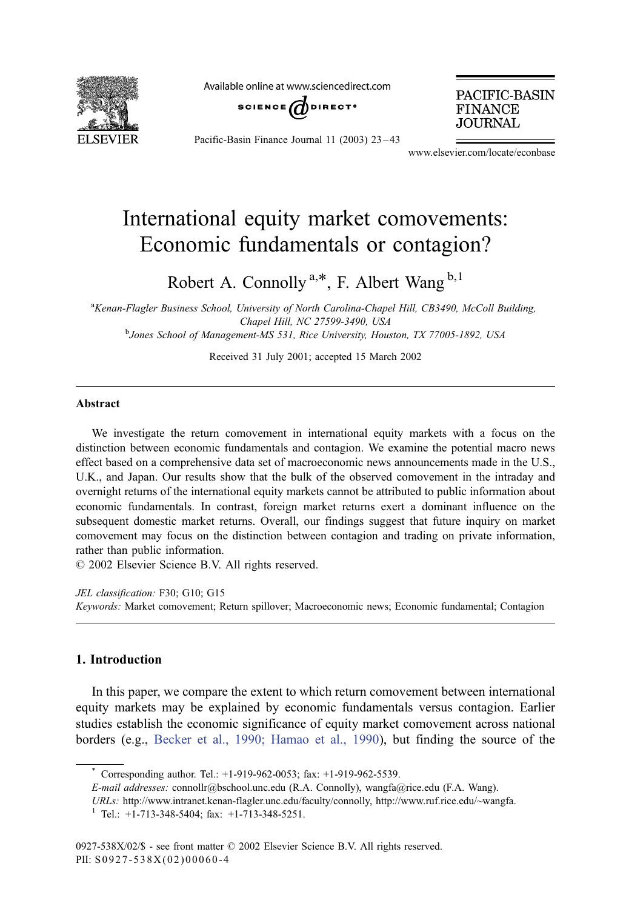

Available online at www.sciencedirect.com



PACIFIC-BASIN **FINANCE JOURNAL** 

Pacific-Basin Finance Journal 11 (2003) 23 – 43

www.elsevier.com/locate/econbase

## International equity market comovements: Economic fundamentals or contagion?

Robert A. Connolly<sup>a,\*</sup>, F. Albert Wang<sup>b,1</sup>

<sup>a</sup>Kenan-Flagler Business School, University of North Carolina-Chapel Hill, CB3490, McColl Building, Chapel Hill, NC 27599-3490, USA<br><sup>b</sup>Jones School of Management-MS 531, Rice University, Houston, TX 77005-1892, USA

Received 31 July 2001; accepted 15 March 2002

## Abstract

We investigate the return comovement in international equity markets with a focus on the distinction between economic fundamentals and contagion. We examine the potential macro news effect based on a comprehensive data set of macroeconomic news announcements made in the U.S., U.K., and Japan. Our results show that the bulk of the observed comovement in the intraday and overnight returns of the international equity markets cannot be attributed to public information about economic fundamentals. In contrast, foreign market returns exert a dominant influence on the subsequent domestic market returns. Overall, our findings suggest that future inquiry on market comovement may focus on the distinction between contagion and trading on private information, rather than public information.

 $\odot$  2002 Elsevier Science B.V. All rights reserved.

JEL classification: F30; G10; G15 Keywords: Market comovement; Return spillover; Macroeconomic news; Economic fundamental; Contagion

## 1. Introduction

In this paper, we compare the extent to which return comovement between international equity markets may be explained by economic fundamentals versus contagion. Earlier studies establish the economic significance of equity market comovement across national borders (e.g., [Becker et al., 1990; Hamao et al., 1990\)](#page--1-0), but finding the source of the

Corresponding author. Tel.: +1-919-962-0053; fax: +1-919-962-5539.

E-mail addresses: connollr@bschool.unc.edu (R.A. Connolly), wangfa@rice.edu (F.A. Wang).

URLs: http://www.intranet.kenan-flagler.unc.edu/faculty/connolly, http://www.ruf.rice.edu/~wangfa.

<sup>1</sup> Tel.: +1-713-348-5404; fax: +1-713-348-5251.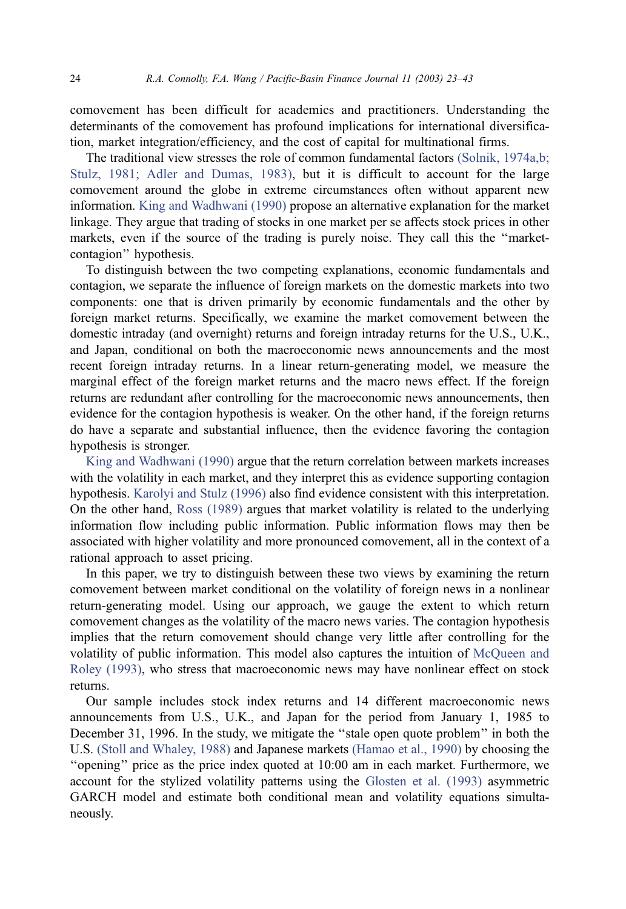comovement has been difficult for academics and practitioners. Understanding the determinants of the comovement has profound implications for international diversification, market integration/efficiency, and the cost of capital for multinational firms.

The traditional view stresses the role of common fundamental factors [\(Solnik, 1974a,b;](#page--1-0) Stulz, 1981; Adler and Dumas, 1983), but it is difficult to account for the large comovement around the globe in extreme circumstances often without apparent new information. [King and Wadhwani \(1990\)](#page--1-0) propose an alternative explanation for the market linkage. They argue that trading of stocks in one market per se affects stock prices in other markets, even if the source of the trading is purely noise. They call this the ''marketcontagion'' hypothesis.

To distinguish between the two competing explanations, economic fundamentals and contagion, we separate the influence of foreign markets on the domestic markets into two components: one that is driven primarily by economic fundamentals and the other by foreign market returns. Specifically, we examine the market comovement between the domestic intraday (and overnight) returns and foreign intraday returns for the U.S., U.K., and Japan, conditional on both the macroeconomic news announcements and the most recent foreign intraday returns. In a linear return-generating model, we measure the marginal effect of the foreign market returns and the macro news effect. If the foreign returns are redundant after controlling for the macroeconomic news announcements, then evidence for the contagion hypothesis is weaker. On the other hand, if the foreign returns do have a separate and substantial influence, then the evidence favoring the contagion hypothesis is stronger.

[King and Wadhwani \(1990\)](#page--1-0) argue that the return correlation between markets increases with the volatility in each market, and they interpret this as evidence supporting contagion hypothesis. [Karolyi and Stulz \(1996\)](#page--1-0) also find evidence consistent with this interpretation. On the other hand, [Ross \(1989\)](#page--1-0) argues that market volatility is related to the underlying information flow including public information. Public information flows may then be associated with higher volatility and more pronounced comovement, all in the context of a rational approach to asset pricing.

In this paper, we try to distinguish between these two views by examining the return comovement between market conditional on the volatility of foreign news in a nonlinear return-generating model. Using our approach, we gauge the extent to which return comovement changes as the volatility of the macro news varies. The contagion hypothesis implies that the return comovement should change very little after controlling for the volatility of public information. This model also captures the intuition of [McQueen and](#page--1-0) Roley (1993), who stress that macroeconomic news may have nonlinear effect on stock returns.

Our sample includes stock index returns and 14 different macroeconomic news announcements from U.S., U.K., and Japan for the period from January 1, 1985 to December 31, 1996. In the study, we mitigate the ''stale open quote problem'' in both the U.S. [\(Stoll and Whaley, 1988\)](#page--1-0) and Japanese markets [\(Hamao et al., 1990\)](#page--1-0) by choosing the ''opening'' price as the price index quoted at 10:00 am in each market. Furthermore, we account for the stylized volatility patterns using the [Glosten et al. \(1993\)](#page--1-0) asymmetric GARCH model and estimate both conditional mean and volatility equations simultaneously.